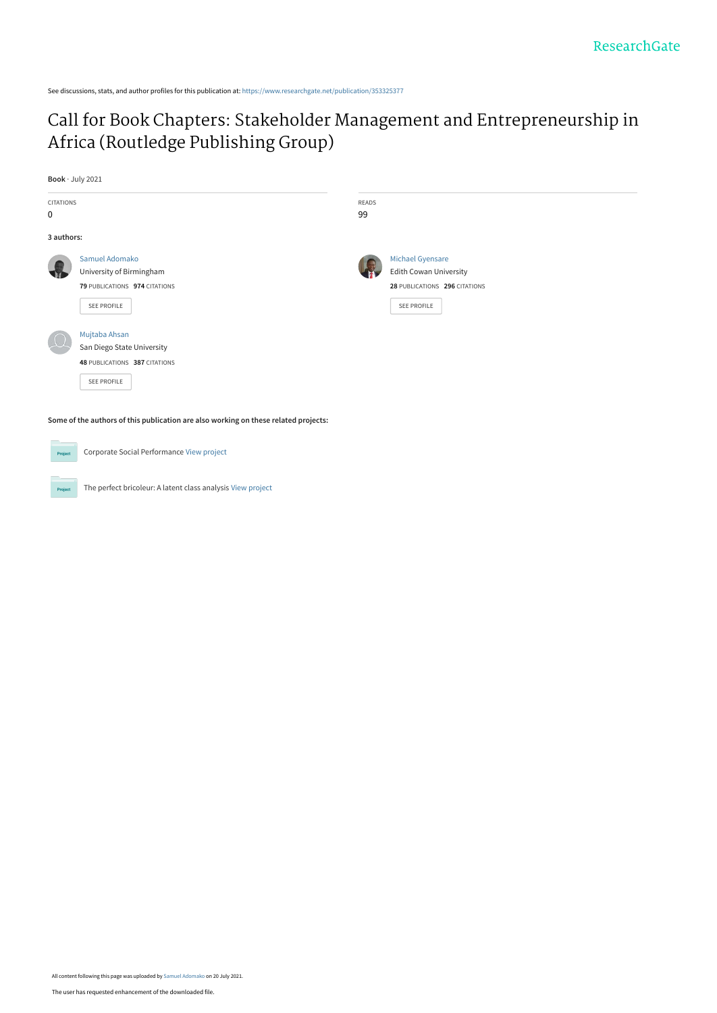See discussions, stats, and author profiles for this publication at: [https://www.researchgate.net/publication/353325377](https://www.researchgate.net/publication/353325377_Call_for_Book_Chapters_Stakeholder_Management_and_Entrepreneurship_in_Africa_Routledge_Publishing_Group?enrichId=rgreq-4df0891552fd311322820d95f11b5cb4-XXX&enrichSource=Y292ZXJQYWdlOzM1MzMyNTM3NztBUzoxMDQ3NTA4Njc5Njg0MDk2QDE2MjY3NTY5Mzk2ODE%3D&el=1_x_2&_esc=publicationCoverPdf)

# [Call for Book Chapters: Stakeholder Management and Entrepreneurship in](https://www.researchgate.net/publication/353325377_Call_for_Book_Chapters_Stakeholder_Management_and_Entrepreneurship_in_Africa_Routledge_Publishing_Group?enrichId=rgreq-4df0891552fd311322820d95f11b5cb4-XXX&enrichSource=Y292ZXJQYWdlOzM1MzMyNTM3NztBUzoxMDQ3NTA4Njc5Njg0MDk2QDE2MjY3NTY5Mzk2ODE%3D&el=1_x_3&_esc=publicationCoverPdf) Africa (Routledge Publishing Group)

**Book** · July 2021 CITATIONS 0 READS 99 **3 authors: Some of the authors of this publication are also working on these related projects:** [Samuel Adomako](https://www.researchgate.net/profile/Samuel-Adomako?enrichId=rgreq-4df0891552fd311322820d95f11b5cb4-XXX&enrichSource=Y292ZXJQYWdlOzM1MzMyNTM3NztBUzoxMDQ3NTA4Njc5Njg0MDk2QDE2MjY3NTY5Mzk2ODE%3D&el=1_x_5&_esc=publicationCoverPdf) [University of Birmingham](https://www.researchgate.net/institution/University_of_Birmingham?enrichId=rgreq-4df0891552fd311322820d95f11b5cb4-XXX&enrichSource=Y292ZXJQYWdlOzM1MzMyNTM3NztBUzoxMDQ3NTA4Njc5Njg0MDk2QDE2MjY3NTY5Mzk2ODE%3D&el=1_x_6&_esc=publicationCoverPdf) **79** PUBLICATIONS **974** CITATIONS [SEE PROFILE](https://www.researchgate.net/profile/Samuel-Adomako?enrichId=rgreq-4df0891552fd311322820d95f11b5cb4-XXX&enrichSource=Y292ZXJQYWdlOzM1MzMyNTM3NztBUzoxMDQ3NTA4Njc5Njg0MDk2QDE2MjY3NTY5Mzk2ODE%3D&el=1_x_7&_esc=publicationCoverPdf) [Michael Gyensare](https://www.researchgate.net/profile/Michael-Gyensare-3?enrichId=rgreq-4df0891552fd311322820d95f11b5cb4-XXX&enrichSource=Y292ZXJQYWdlOzM1MzMyNTM3NztBUzoxMDQ3NTA4Njc5Njg0MDk2QDE2MjY3NTY5Mzk2ODE%3D&el=1_x_5&_esc=publicationCoverPdf) [Edith Cowan University](https://www.researchgate.net/institution/Edith_Cowan_University?enrichId=rgreq-4df0891552fd311322820d95f11b5cb4-XXX&enrichSource=Y292ZXJQYWdlOzM1MzMyNTM3NztBUzoxMDQ3NTA4Njc5Njg0MDk2QDE2MjY3NTY5Mzk2ODE%3D&el=1_x_6&_esc=publicationCoverPdf) **28** PUBLICATIONS **296** CITATIONS [SEE PROFILE](https://www.researchgate.net/profile/Michael-Gyensare-3?enrichId=rgreq-4df0891552fd311322820d95f11b5cb4-XXX&enrichSource=Y292ZXJQYWdlOzM1MzMyNTM3NztBUzoxMDQ3NTA4Njc5Njg0MDk2QDE2MjY3NTY5Mzk2ODE%3D&el=1_x_7&_esc=publicationCoverPdf) [Mujtaba Ahsan](https://www.researchgate.net/profile/Mujtaba-Ahsan-2?enrichId=rgreq-4df0891552fd311322820d95f11b5cb4-XXX&enrichSource=Y292ZXJQYWdlOzM1MzMyNTM3NztBUzoxMDQ3NTA4Njc5Njg0MDk2QDE2MjY3NTY5Mzk2ODE%3D&el=1_x_5&_esc=publicationCoverPdf) [San Diego State University](https://www.researchgate.net/institution/San_Diego_State_University?enrichId=rgreq-4df0891552fd311322820d95f11b5cb4-XXX&enrichSource=Y292ZXJQYWdlOzM1MzMyNTM3NztBUzoxMDQ3NTA4Njc5Njg0MDk2QDE2MjY3NTY5Mzk2ODE%3D&el=1_x_6&_esc=publicationCoverPdf) **48** PUBLICATIONS **387** CITATIONS [SEE PROFILE](https://www.researchgate.net/profile/Mujtaba-Ahsan-2?enrichId=rgreq-4df0891552fd311322820d95f11b5cb4-XXX&enrichSource=Y292ZXJQYWdlOzM1MzMyNTM3NztBUzoxMDQ3NTA4Njc5Njg0MDk2QDE2MjY3NTY5Mzk2ODE%3D&el=1_x_7&_esc=publicationCoverPdf)

Corporate Social Performance [View project](https://www.researchgate.net/project/Corporate-Social-Performance-3?enrichId=rgreq-4df0891552fd311322820d95f11b5cb4-XXX&enrichSource=Y292ZXJQYWdlOzM1MzMyNTM3NztBUzoxMDQ3NTA4Njc5Njg0MDk2QDE2MjY3NTY5Mzk2ODE%3D&el=1_x_9&_esc=publicationCoverPdf) Proj

The perfect bricoleur: A latent class analysis [View project](https://www.researchgate.net/project/The-perfect-bricoleur-A-latent-class-analysis?enrichId=rgreq-4df0891552fd311322820d95f11b5cb4-XXX&enrichSource=Y292ZXJQYWdlOzM1MzMyNTM3NztBUzoxMDQ3NTA4Njc5Njg0MDk2QDE2MjY3NTY5Mzk2ODE%3D&el=1_x_9&_esc=publicationCoverPdf)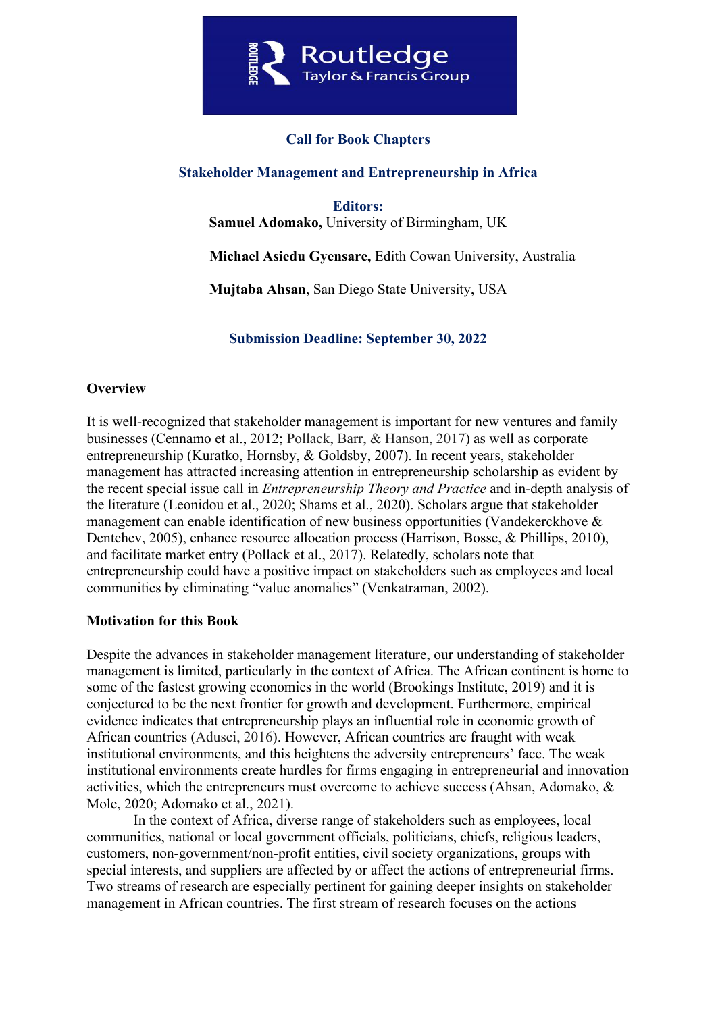

## **Call for Book Chapters**

## **Stakeholder Management and Entrepreneurship in Africa**

**Editors: Samuel Adomako,** University of Birmingham, UK

 **Michael Asiedu Gyensare,** Edith Cowan University, Australia

**Mujtaba Ahsan**, San Diego State University, USA

**Submission Deadline: September 30, 2022**

### **Overview**

It is well-recognized that stakeholder management is important for new ventures and family businesses (Cennamo et al., 2012; Pollack, Barr, & Hanson, 2017) as well as corporate entrepreneurship (Kuratko, Hornsby, & Goldsby, 2007). In recent years, stakeholder management has attracted increasing attention in entrepreneurship scholarship as evident by the recent special issue call in *Entrepreneurship Theory and Practice* and in-depth analysis of the literature (Leonidou et al., 2020; Shams et al., 2020). Scholars argue that stakeholder management can enable identification of new business opportunities (Vandekerckhove & Dentchev, 2005), enhance resource allocation process (Harrison, Bosse, & Phillips, 2010), and facilitate market entry (Pollack et al., 2017). Relatedly, scholars note that entrepreneurship could have a positive impact on stakeholders such as employees and local communities by eliminating "value anomalies" (Venkatraman, 2002).

### **Motivation for this Book**

Despite the advances in stakeholder management literature, our understanding of stakeholder management is limited, particularly in the context of Africa. The African continent is home to some of the fastest growing economies in the world (Brookings Institute, 2019) and it is conjectured to be the next frontier for growth and development. Furthermore, empirical evidence indicates that entrepreneurship plays an influential role in economic growth of African countries (Adusei, 2016). However, African countries are fraught with weak institutional environments, and this heightens the adversity entrepreneurs' face. The weak institutional environments create hurdles for firms engaging in entrepreneurial and innovation activities, which the entrepreneurs must overcome to achieve success (Ahsan, Adomako, & Mole, 2020; Adomako et al., 2021).

 In the context of Africa, diverse range of stakeholders such as employees, local communities, national or local government officials, politicians, chiefs, religious leaders, customers, non-government/non-profit entities, civil society organizations, groups with special interests, and suppliers are affected by or affect the actions of entrepreneurial firms. Two streams of research are especially pertinent for gaining deeper insights on stakeholder management in African countries. The first stream of research focuses on the actions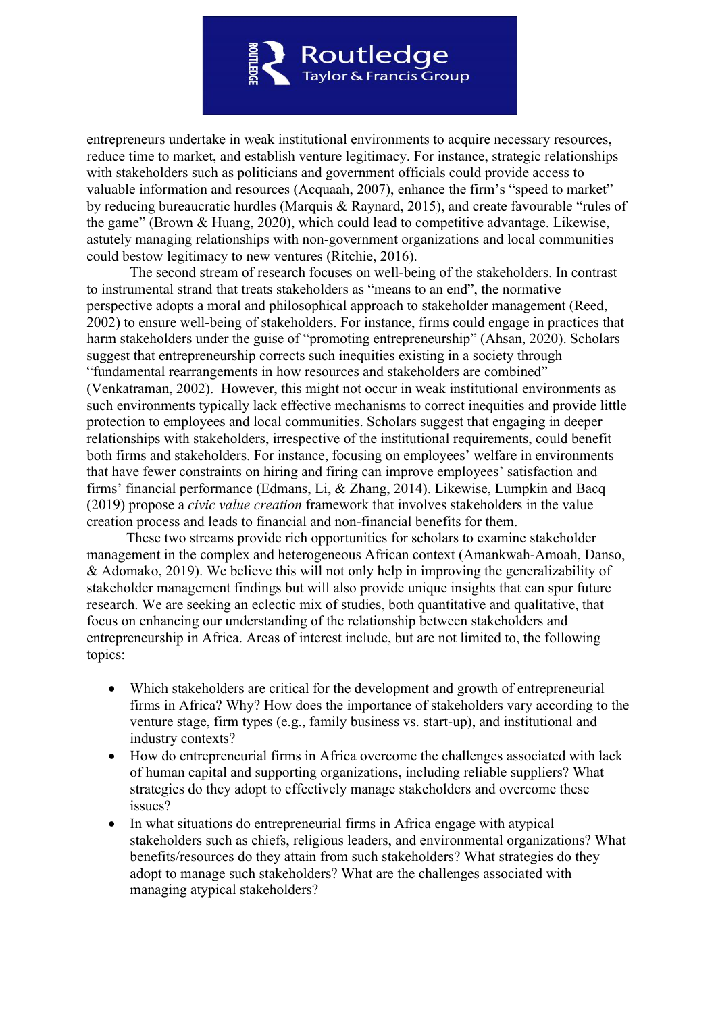

entrepreneurs undertake in weak institutional environments to acquire necessary resources, reduce time to market, and establish venture legitimacy. For instance, strategic relationships with stakeholders such as politicians and government officials could provide access to valuable information and resources (Acquaah, 2007), enhance the firm's "speed to market" by reducing bureaucratic hurdles (Marquis & Raynard, 2015), and create favourable "rules of the game" (Brown & Huang, 2020), which could lead to competitive advantage. Likewise, astutely managing relationships with non-government organizations and local communities could bestow legitimacy to new ventures (Ritchie, 2016).

 The second stream of research focuses on well-being of the stakeholders. In contrast to instrumental strand that treats stakeholders as "means to an end", the normative perspective adopts a moral and philosophical approach to stakeholder management (Reed, 2002) to ensure well-being of stakeholders. For instance, firms could engage in practices that harm stakeholders under the guise of "promoting entrepreneurship" (Ahsan, 2020). Scholars suggest that entrepreneurship corrects such inequities existing in a society through "fundamental rearrangements in how resources and stakeholders are combined" (Venkatraman, 2002). However, this might not occur in weak institutional environments as such environments typically lack effective mechanisms to correct inequities and provide little protection to employees and local communities. Scholars suggest that engaging in deeper relationships with stakeholders, irrespective of the institutional requirements, could benefit both firms and stakeholders. For instance, focusing on employees' welfare in environments that have fewer constraints on hiring and firing can improve employees' satisfaction and firms' financial performance (Edmans, Li, & Zhang, 2014). Likewise, Lumpkin and Bacq (2019) propose a *civic value creation* framework that involves stakeholders in the value creation process and leads to financial and non-financial benefits for them.

 These two streams provide rich opportunities for scholars to examine stakeholder management in the complex and heterogeneous African context (Amankwah‐Amoah, Danso, & Adomako, 2019). We believe this will not only help in improving the generalizability of stakeholder management findings but will also provide unique insights that can spur future research. We are seeking an eclectic mix of studies, both quantitative and qualitative, that focus on enhancing our understanding of the relationship between stakeholders and entrepreneurship in Africa. Areas of interest include, but are not limited to, the following topics:

- Which stakeholders are critical for the development and growth of entrepreneurial firms in Africa? Why? How does the importance of stakeholders vary according to the venture stage, firm types (e.g., family business vs. start-up), and institutional and industry contexts?
- How do entrepreneurial firms in Africa overcome the challenges associated with lack of human capital and supporting organizations, including reliable suppliers? What strategies do they adopt to effectively manage stakeholders and overcome these issues?
- In what situations do entrepreneurial firms in Africa engage with atypical stakeholders such as chiefs, religious leaders, and environmental organizations? What benefits/resources do they attain from such stakeholders? What strategies do they adopt to manage such stakeholders? What are the challenges associated with managing atypical stakeholders?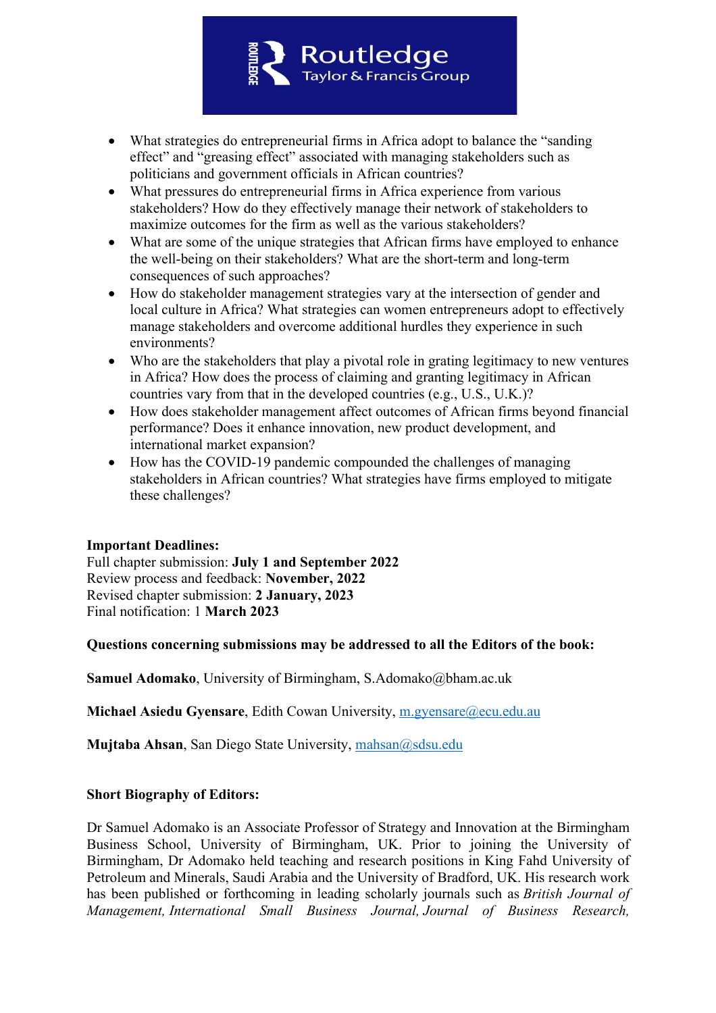

- What strategies do entrepreneurial firms in Africa adopt to balance the "sanding" effect" and "greasing effect" associated with managing stakeholders such as politicians and government officials in African countries?
- What pressures do entrepreneurial firms in Africa experience from various stakeholders? How do they effectively manage their network of stakeholders to maximize outcomes for the firm as well as the various stakeholders?
- What are some of the unique strategies that African firms have employed to enhance the well-being on their stakeholders? What are the short-term and long-term consequences of such approaches?
- How do stakeholder management strategies vary at the intersection of gender and local culture in Africa? What strategies can women entrepreneurs adopt to effectively manage stakeholders and overcome additional hurdles they experience in such environments?
- Who are the stakeholders that play a pivotal role in grating legitimacy to new ventures in Africa? How does the process of claiming and granting legitimacy in African countries vary from that in the developed countries (e.g., U.S., U.K.)?
- How does stakeholder management affect outcomes of African firms beyond financial performance? Does it enhance innovation, new product development, and international market expansion?
- How has the COVID-19 pandemic compounded the challenges of managing stakeholders in African countries? What strategies have firms employed to mitigate these challenges?

## **Important Deadlines:**

Full chapter submission: **July 1 and September 2022** Review process and feedback: **November, 2022** Revised chapter submission: **2 January, 2023** Final notification: 1 **March 2023**

### **Questions concerning submissions may be addressed to all the Editors of the book:**

**Samuel Adomako**, University of Birmingham, S.Adomako@bham.ac.uk

**Michael Asiedu Gyensare**, Edith Cowan University, m.gyensare@ecu.edu.au

**Mujtaba Ahsan**, San Diego State University, mahsan@sdsu.edu

## **Short Biography of Editors:**

Dr Samuel Adomako is an Associate Professor of Strategy and Innovation at the Birmingham Business School, University of Birmingham, UK. Prior to joining the University of Birmingham, Dr Adomako held teaching and research positions in King Fahd University of Petroleum and Minerals, Saudi Arabia and the University of Bradford, UK. His research work has been published or forthcoming in leading scholarly journals such as *British Journal of Management, International Small Business Journal, Journal of Business Research,*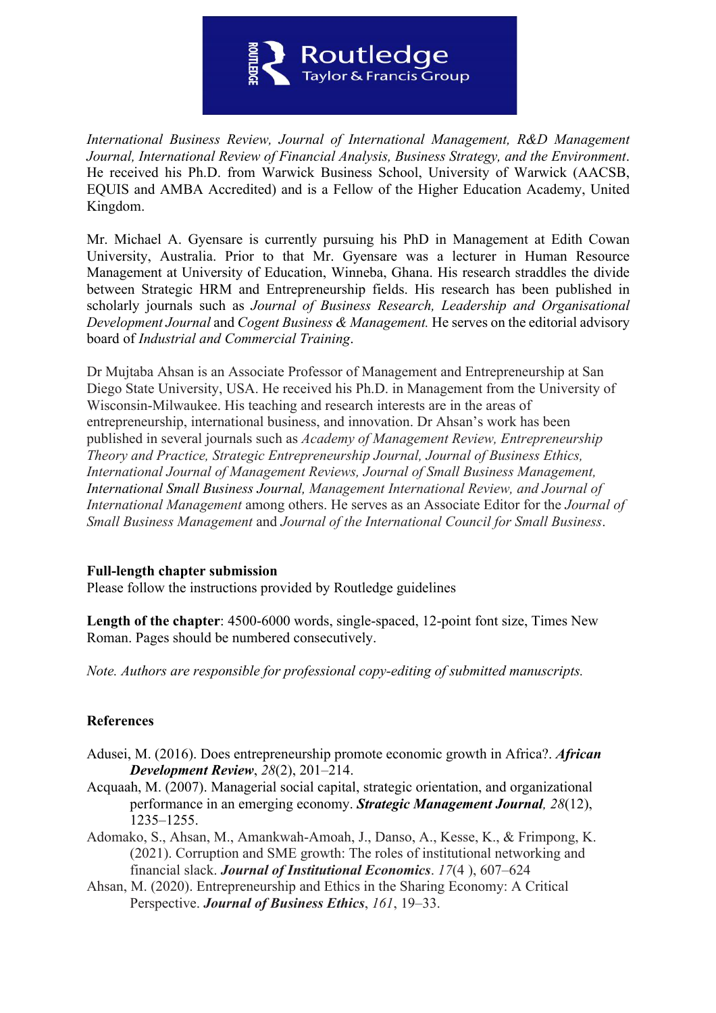

*International Business Review, Journal of International Management, R&D Management Journal, International Review of Financial Analysis, Business Strategy, and the Environment*. He received his Ph.D. from Warwick Business School, University of Warwick (AACSB, EQUIS and AMBA Accredited) and is a Fellow of the Higher Education Academy, United Kingdom.

Mr. Michael A. Gyensare is currently pursuing his PhD in Management at Edith Cowan University, Australia. Prior to that Mr. Gyensare was a lecturer in Human Resource Management at University of Education, Winneba, Ghana. His research straddles the divide between Strategic HRM and Entrepreneurship fields. His research has been published in scholarly journals such as *Journal of Business Research, Leadership and Organisational Development Journal* and *Cogent Business & Management.* He serves on the editorial advisory board of *Industrial and Commercial Training*.

Dr Mujtaba Ahsan is an Associate Professor of Management and Entrepreneurship at San Diego State University, USA. He received his Ph.D. in Management from the University of Wisconsin-Milwaukee. His teaching and research interests are in the areas of entrepreneurship, international business, and innovation. Dr Ahsan's work has been published in several journals such as *Academy of Management Review, Entrepreneurship Theory and Practice, Strategic Entrepreneurship Journal, Journal of Business Ethics, International Journal of Management Reviews, Journal of Small Business Management, International Small Business Journal, Management International Review, and Journal of International Management* among others. He serves as an Associate Editor for the *Journal of Small Business Management* and *Journal of the International Council for Small Business*.

### **Full-length chapter submission**

Please follow the instructions provided by Routledge guidelines

**Length of the chapter**: 4500-6000 words, single-spaced, 12-point font size, Times New Roman. Pages should be numbered consecutively.

*Note. Authors are responsible for professional copy-editing of submitted manuscripts.*

## **References**

- Adusei, M. (2016). Does entrepreneurship promote economic growth in Africa?. *African Development Review*, *28*(2), 201–214.
- Acquaah, M. (2007). Managerial social capital, strategic orientation, and organizational performance in an emerging economy. *Strategic Management Journal, 28*(12), 1235–1255.
- Adomako, S., Ahsan, M., Amankwah-Amoah, J., Danso, A., Kesse, K., & Frimpong, K. (2021). Corruption and SME growth: The roles of institutional networking and financial slack. *Journal of Institutional Economics*. *17*(4 ), 607–624
- Ahsan, M. (2020). Entrepreneurship and Ethics in the Sharing Economy: A Critical Perspective. *Journal of Business Ethics*, *161*, 19–33.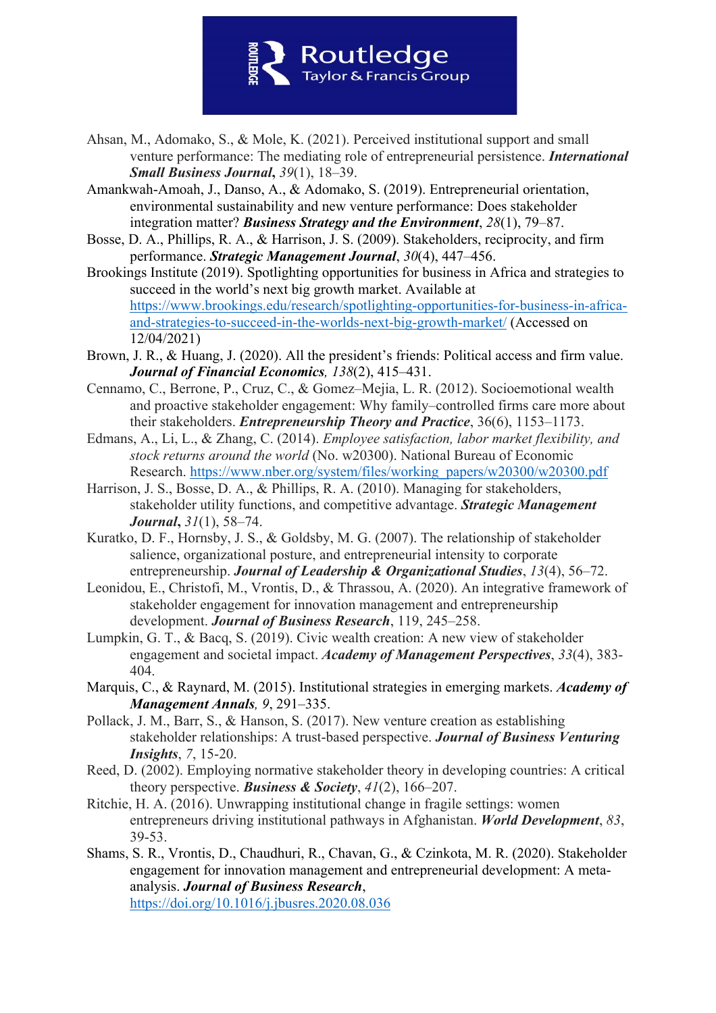

- Ahsan, M., Adomako, S., & Mole, K. (2021). Perceived institutional support and small venture performance: The mediating role of entrepreneurial persistence. *International Small Business Journal***,** *39*(1), 18–39.
- Amankwah‐Amoah, J., Danso, A., & Adomako, S. (2019). Entrepreneurial orientation, environmental sustainability and new venture performance: Does stakeholder integration matter? *Business Strategy and the Environment*, *28*(1), 79–87.
- Bosse, D. A., Phillips, R. A., & Harrison, J. S. (2009). Stakeholders, reciprocity, and firm performance. *Strategic Management Journal*, *30*(4), 447–456.
- Brookings Institute (2019). Spotlighting opportunities for business in Africa and strategies to succeed in the world's next big growth market. Available at https://www.brookings.edu/research/spotlighting-opportunities-for-business-in-africaand-strategies-to-succeed-in-the-worlds-next-big-growth-market/ (Accessed on 12/04/2021)
- Brown, J. R., & Huang, J. (2020). All the president's friends: Political access and firm value. *Journal of Financial Economics, 138*(2), 415–431.
- Cennamo, C., Berrone, P., Cruz, C., & Gomez–Mejia, L. R. (2012). Socioemotional wealth and proactive stakeholder engagement: Why family–controlled firms care more about their stakeholders. *Entrepreneurship Theory and Practice*, 36(6), 1153–1173.
- Edmans, A., Li, L., & Zhang, C. (2014). *Employee satisfaction, labor market flexibility, and stock returns around the world* (No. w20300). National Bureau of Economic Research. https://www.nber.org/system/files/working\_papers/w20300/w20300.pdf
- Harrison, J. S., Bosse, D. A., & Phillips, R. A. (2010). Managing for stakeholders, stakeholder utility functions, and competitive advantage. *Strategic Management Journal***,** *31*(1), 58–74.
- Kuratko, D. F., Hornsby, J. S., & Goldsby, M. G. (2007). The relationship of stakeholder salience, organizational posture, and entrepreneurial intensity to corporate entrepreneurship. *Journal of Leadership & Organizational Studies*, *13*(4), 56–72.
- Leonidou, E., Christofi, M., Vrontis, D., & Thrassou, A. (2020). An integrative framework of stakeholder engagement for innovation management and entrepreneurship development. *Journal of Business Research*, 119, 245–258.
- Lumpkin, G. T., & Bacq, S. (2019). Civic wealth creation: A new view of stakeholder engagement and societal impact. *Academy of Management Perspectives*, *33*(4), 383- 404.
- Marquis, C., & Raynard, M. (2015). Institutional strategies in emerging markets. *Academy of Management Annals, 9*, 291–335.
- Pollack, J. M., Barr, S., & Hanson, S. (2017). New venture creation as establishing stakeholder relationships: A trust-based perspective. *Journal of Business Venturing Insights*, *7*, 15-20.
- Reed, D. (2002). Employing normative stakeholder theory in developing countries: A critical theory perspective. *Business & Society*, *41*(2), 166–207.
- Ritchie, H. A. (2016). Unwrapping institutional change in fragile settings: women entrepreneurs driving institutional pathways in Afghanistan. *World Development*, *83*, 39-53.
- Shams, S. R., Vrontis, D., Chaudhuri, R., Chavan, G., & Czinkota, M. R. (2020). Stakeholder engagement for innovation management and entrepreneurial development: A metaanalysis. *Journal of Business Research*, https://doi.org/10.1016/j.jbusres.2020.08.036